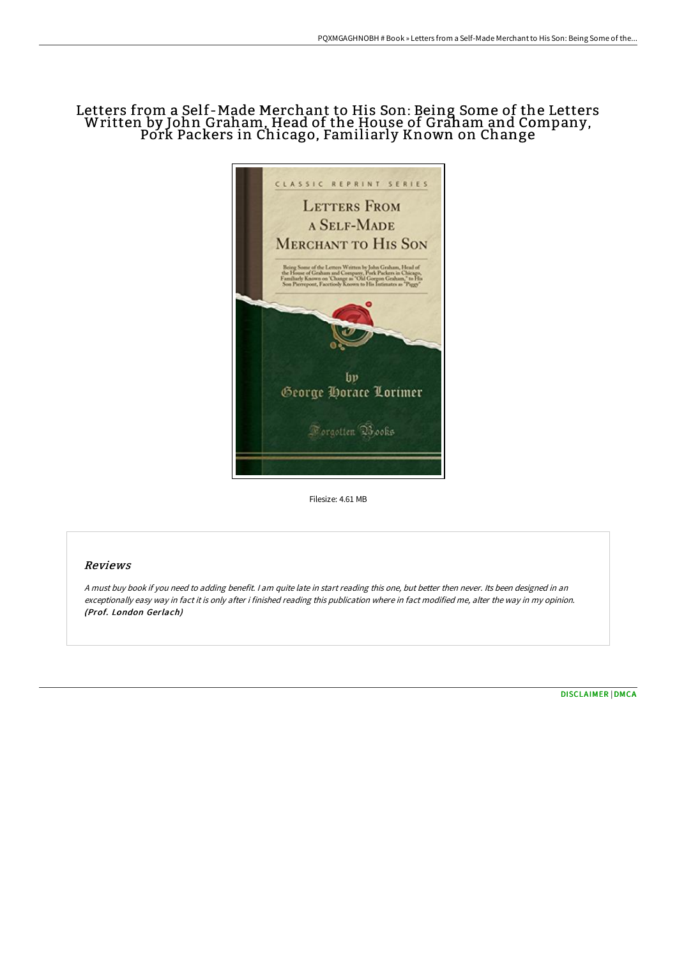## Letters from a Self-Made Merchant to His Son: Being Some of the Letters Written by John Graham, Head of the House of Graham and Company, Pork Packers in Chicago, Familiarly Known on Change



Filesize: 4.61 MB

## Reviews

<sup>A</sup> must buy book if you need to adding benefit. <sup>I</sup> am quite late in start reading this one, but better then never. Its been designed in an exceptionally easy way in fact it is only after i finished reading this publication where in fact modified me, alter the way in my opinion. (Prof. London Gerlach)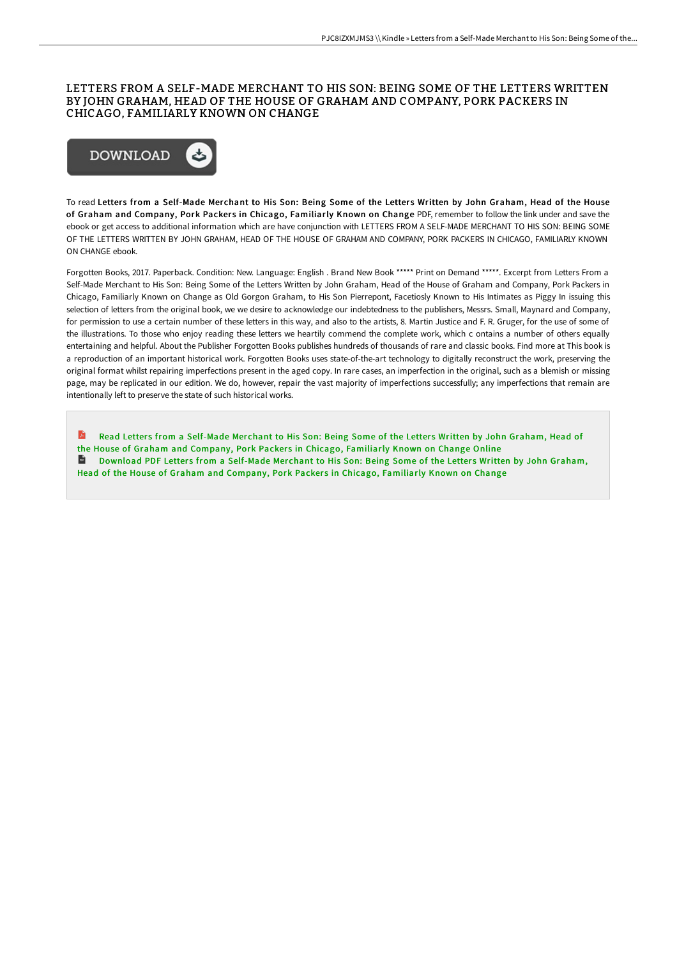## LETTERS FROM A SELF-MADE MERCHANT TO HIS SON: BEING SOME OF THE LETTERS WRITTEN BY JOHN GRAHAM, HEAD OF THE HOUSE OF GRAHAM AND COMPANY, PORK PACKERS IN CHICAGO, FAMILIARLY KNOWN ON CHANGE



To read Letters from a Self-Made Merchant to His Son: Being Some of the Letters Written by John Graham, Head of the House of Graham and Company, Pork Packers in Chicago, Familiarly Known on Change PDF, remember to follow the link under and save the ebook or get access to additional information which are have conjunction with LETTERS FROM A SELF-MADE MERCHANT TO HIS SON: BEING SOME OF THE LETTERS WRITTEN BY JOHN GRAHAM, HEAD OF THE HOUSE OF GRAHAM AND COMPANY, PORK PACKERS IN CHICAGO, FAMILIARLY KNOWN ON CHANGE ebook.

Forgotten Books, 2017. Paperback. Condition: New. Language: English . Brand New Book \*\*\*\*\* Print on Demand \*\*\*\*\*. Excerpt from Letters From a Self-Made Merchant to His Son: Being Some of the Letters Written by John Graham, Head of the House of Graham and Company, Pork Packers in Chicago, Familiarly Known on Change as Old Gorgon Graham, to His Son Pierrepont, Facetiosly Known to His Intimates as Piggy In issuing this selection of letters from the original book, we we desire to acknowledge our indebtedness to the publishers, Messrs. Small, Maynard and Company, for permission to use a certain number of these letters in this way, and also to the artists, 8. Martin Justice and F. R. Gruger, for the use of some of the illustrations. To those who enjoy reading these letters we heartily commend the complete work, which c ontains a number of others equally entertaining and helpful. About the Publisher Forgotten Books publishes hundreds of thousands of rare and classic books. Find more at This book is a reproduction of an important historical work. Forgotten Books uses state-of-the-art technology to digitally reconstruct the work, preserving the original format whilst repairing imperfections present in the aged copy. In rare cases, an imperfection in the original, such as a blemish or missing page, may be replicated in our edition. We do, however, repair the vast majority of imperfections successfully; any imperfections that remain are intentionally left to preserve the state of such historical works.

**A** Read Letters from a Self-Made Merchant to His Son: Being Some of the Letters Written by John Graham, Head of the House of Graham and Company, Pork Packers in Chicago, [Familiarly](http://techno-pub.tech/letters-from-a-self-made-merchant-to-his-son-bei.html) Known on Change Online **Download PDF Letters from a Self-Made Merchant to His Son: Being Some of the Letters Written by John Graham,** Head of the House of Graham and Company, Pork Packers in Chicago, [Familiarly](http://techno-pub.tech/letters-from-a-self-made-merchant-to-his-son-bei.html) Known on Change